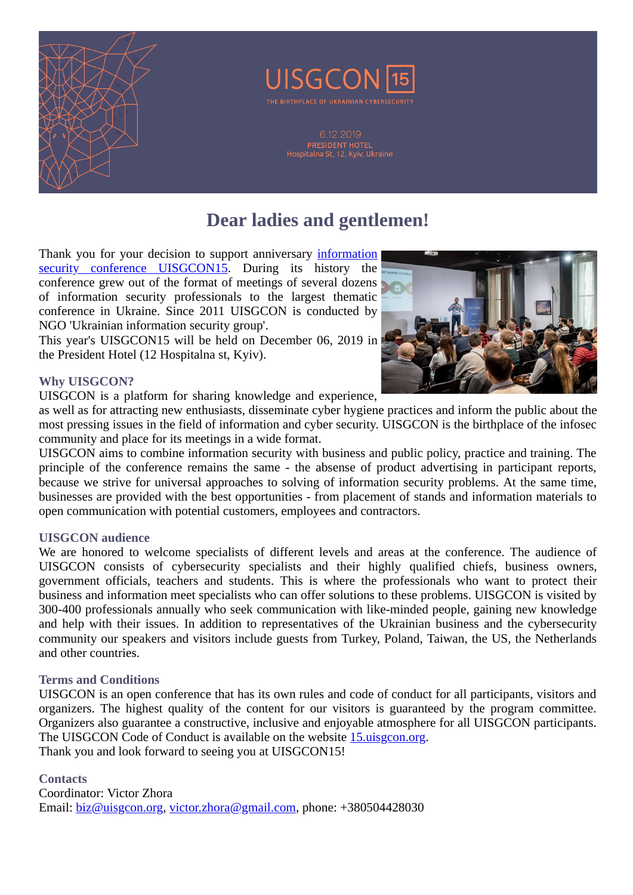

# **Dear ladies and gentlemen!**

[Thank you for your decision to support anniversary information](https://uk.wikipedia.org/wiki/UISGCON) security conference UISGCON15. During its history the conference grew out of the format of meetings of several dozens of information security professionals to the largest thematic conference in Ukraine. Since 2011 UISGCON is conducted by NGO 'Ukrainian information security group'.

This year's UISGCON15 will be held on December 06, 2019 in the President Hotel (12 Hospitalna st, Kyiv).



### **Why UISGCON?**

UISGCON is a platform for sharing knowledge and experience,

as well as for attracting new enthusiasts, disseminate cyber hygiene practices and inform the public about the most pressing issues in the field of information and cyber security. UISGCON is the birthplace of the infosec community and place for its meetings in a wide format.

UISGCON aims to combine information security with business and public policy, practice and training. The principle of the conference remains the same - the absense of product advertising in participant reports, because we strive for universal approaches to solving of information security problems. At the same time, businesses are provided with the best opportunities - from placement of stands and information materials to open communication with potential customers, employees and contractors.

#### **UISGCON audience**

We are honored to welcome specialists of different levels and areas at the conference. The audience of UISGCON consists of cybersecurity specialists and their highly qualified chiefs, business owners, government officials, teachers and students. This is where the professionals who want to protect their business and information meet specialists who can offer solutions to these problems. UISGCON is visited by 300-400 professionals annually who seek communication with like-minded people, gaining new knowledge and help with their issues. In addition to representatives of the Ukrainian business and the cybersecurity community our speakers and visitors include guests from Turkey, Poland, Taiwan, the US, the Netherlands and other countries.

#### **Terms and Conditions**

UISGCON is an open conference that has its own rules and code of conduct for all participants, visitors and organizers. The highest quality of the content for our visitors is guaranteed by the program committee. Organizers also guarantee a constructive, inclusive and enjoyable atmosphere for all UISGCON participants. The UISGCON Code of Conduct is available on the website [15.uisgcon.org](https://15.uisgcon.org/en). Thank you and look forward to seeing you at UISGCON15!

#### **Contacts**

Coordinator: Victor Zhora Email: [biz@uisgcon.org,](mailto:biz@uisgcon.org) [victor.zhora@gmail.com](mailto:victor.zhora@gmail.com), phone: +380504428030